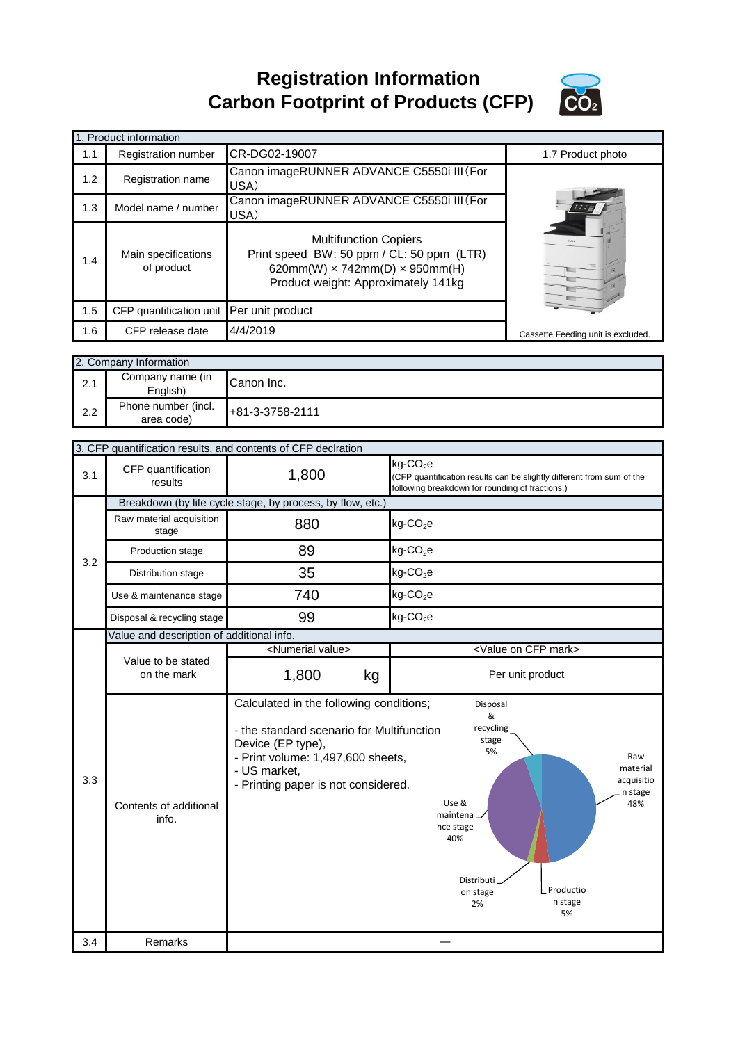**Registration Information Carbon Footprint of Products (CFP)**



|     | 1. Product information                   |                                                                                                                                                                  |                                    |
|-----|------------------------------------------|------------------------------------------------------------------------------------------------------------------------------------------------------------------|------------------------------------|
| 1.1 | <b>Registration number</b>               | CR-DG02-19007                                                                                                                                                    | 1.7 Product photo                  |
| 1.2 | Registration name                        | Canon imageRUNNER ADVANCE C5550i III (For<br>USA)                                                                                                                |                                    |
| 1.3 | Model name / number                      | Canon imageRUNNER ADVANCE C5550i III (For<br>USA)                                                                                                                |                                    |
| 1.4 | Main specifications<br>of product        | <b>Multifunction Copiers</b><br>Print speed BW: 50 ppm / CL: 50 ppm (LTR)<br>620mm(W) $\times$ 742mm(D) $\times$ 950mm(H)<br>Product weight: Approximately 141kg |                                    |
| 1.5 | CFP quantification unit Per unit product |                                                                                                                                                                  |                                    |
| 1.6 | CFP release date                         | 4/4/2019                                                                                                                                                         | Cassette Feeding unit is excluded. |

|     | 2. Company Information            |                 |
|-----|-----------------------------------|-----------------|
| 2.1 | Company name (in<br>English)      | Canon Inc.      |
| 2.2 | Phone number (incl.<br>area code) | +81-3-3758-2111 |

|     |                                                            | 3. CFP quantification results, and contents of CFP declration                                                                                                                                         |                                                                                                                                                  |  |  |
|-----|------------------------------------------------------------|-------------------------------------------------------------------------------------------------------------------------------------------------------------------------------------------------------|--------------------------------------------------------------------------------------------------------------------------------------------------|--|--|
| 3.1 | CFP quantification<br>results                              | 1,800                                                                                                                                                                                                 | kg-CO <sub>2</sub> e<br>(CFP quantification results can be slightly different from sum of the<br>following breakdown for rounding of fractions.) |  |  |
|     | Breakdown (by life cycle stage, by process, by flow, etc.) |                                                                                                                                                                                                       |                                                                                                                                                  |  |  |
|     | Raw material acquisition<br>stage                          | 880                                                                                                                                                                                                   | $kg$ -CO <sub>2</sub> e                                                                                                                          |  |  |
| 3.2 | Production stage                                           | 89                                                                                                                                                                                                    | $kg$ -CO <sub>2</sub> e                                                                                                                          |  |  |
|     | Distribution stage                                         | 35                                                                                                                                                                                                    | $kg$ -CO <sub>2</sub> e                                                                                                                          |  |  |
|     | Use & maintenance stage                                    | 740                                                                                                                                                                                                   | $kg$ -CO <sub>2</sub> e                                                                                                                          |  |  |
|     | Disposal & recycling stage                                 | 99                                                                                                                                                                                                    | $kg$ -CO <sub>2</sub> e                                                                                                                          |  |  |
|     | Value and description of additional info.                  |                                                                                                                                                                                                       |                                                                                                                                                  |  |  |
|     |                                                            | <numerial value=""></numerial>                                                                                                                                                                        | <value cfp="" mark="" on=""></value>                                                                                                             |  |  |
|     | Value to be stated<br>on the mark                          | 1,800<br>kg                                                                                                                                                                                           | Per unit product                                                                                                                                 |  |  |
| 3.3 |                                                            | Calculated in the following conditions;<br>- the standard scenario for Multifunction<br>Device (EP type),<br>- Print volume: 1,497,600 sheets,<br>- US market,<br>- Printing paper is not considered. | Disposal<br>&<br>recycling<br>stage<br>5%<br>Raw<br>material<br>acquisitio<br>n stage                                                            |  |  |
| 3.4 | Contents of additional<br>info.                            |                                                                                                                                                                                                       | Use &<br>48%<br>maintena.<br>nce stage<br>40%<br>Distributi<br>Productio<br>on stage<br>n stage<br>2%<br>5%                                      |  |  |